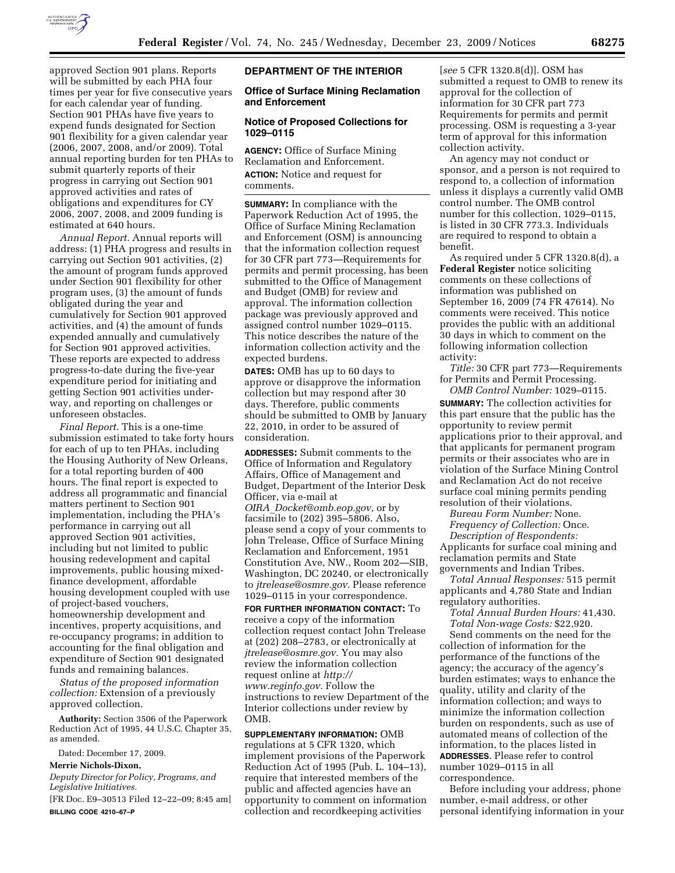

approved Section 901 plans. Reports will be submitted by each PHA four times per year for five consecutive years for each calendar year of funding. Section 901 PHAs have five years to expend funds designated for Section 901 flexibility for a given calendar year (2006, 2007, 2008, and/or 2009). Total annual reporting burden for ten PHAs to submit quarterly reports of their progress in carrying out Section 901 approved activities and rates of obligations and expenditures for CY 2006, 2007, 2008, and 2009 funding is estimated at 640 hours.

*Annual Report.* Annual reports will address: (1) PHA progress and results in carrying out Section 901 activities, (2) the amount of program funds approved under Section 901 flexibility for other program uses, (3) the amount of funds obligated during the year and cumulatively for Section 901 approved activities, and (4) the amount of funds expended annually and cumulatively for Section 901 approved activities. These reports are expected to address progress-to-date during the five-year expenditure period for initiating and getting Section 901 activities underway, and reporting on challenges or unforeseen obstacles.

*Final Report.* This is a one-time submission estimated to take forty hours for each of up to ten PHAs, including the Housing Authority of New Orleans, for a total reporting burden of 400 hours. The final report is expected to address all programmatic and financial matters pertinent to Section 901 implementation, including the PHA's performance in carrying out all approved Section 901 activities, including but not limited to public housing redevelopment and capital improvements, public housing mixedfinance development, affordable housing development coupled with use of project-based vouchers, homeownership development and incentives, property acquisitions, and re-occupancy programs; in addition to accounting for the final obligation and expenditure of Section 901 designated funds and remaining balances.

*Status of the proposed information collection:* Extension of a previously approved collection.

**Authority:** Section 3506 of the Paperwork Reduction Act of 1995, 44 U.S.C. Chapter 35, as amended.

Dated: December 17, 2009.

**Merrie Nichols-Dixon,** 

*Deputy Director for Policy, Programs, and Legislative Initiatives.* 

[FR Doc. E9–30513 Filed 12–22–09; 8:45 am] **BILLING CODE 4210–67–P** 

# **DEPARTMENT OF THE INTERIOR**

### **Office of Surface Mining Reclamation and Enforcement**

# **Notice of Proposed Collections for 1029–0115**

**AGENCY:** Office of Surface Mining Reclamation and Enforcement. **ACTION:** Notice and request for comments.

**SUMMARY:** In compliance with the Paperwork Reduction Act of 1995, the Office of Surface Mining Reclamation and Enforcement (OSM) is announcing that the information collection request for 30 CFR part 773—Requirements for permits and permit processing, has been submitted to the Office of Management and Budget (OMB) for review and approval. The information collection package was previously approved and assigned control number 1029–0115. This notice describes the nature of the information collection activity and the expected burdens.

**DATES:** OMB has up to 60 days to approve or disapprove the information collection but may respond after 30 days. Therefore, public comments should be submitted to OMB by January 22, 2010, in order to be assured of consideration.

**ADDRESSES:** Submit comments to the Office of Information and Regulatory Affairs, Office of Management and Budget, Department of the Interior Desk Officer, via e-mail at *OIRA*\_*Docket@omb.eop.gov,* or by facsimile to (202) 395–5806. Also, please send a copy of your comments to John Trelease, Office of Surface Mining Reclamation and Enforcement, 1951 Constitution Ave, NW., Room 202—SIB, Washington, DC 20240, or electronically to *jtrelease@osmre.gov.* Please reference 1029–0115 in your correspondence.

**FOR FURTHER INFORMATION CONTACT:** To receive a copy of the information collection request contact John Trelease at (202) 208–2783, or electronically at *jtrelease@osmre.gov.* You may also review the information collection request online at *http:// www.reginfo.gov.* Follow the instructions to review Department of the Interior collections under review by OMB.

**SUPPLEMENTARY INFORMATION:** OMB regulations at 5 CFR 1320, which implement provisions of the Paperwork Reduction Act of 1995 (Pub. L. 104–13), require that interested members of the public and affected agencies have an opportunity to comment on information collection and recordkeeping activities

[*see* 5 CFR 1320.8(d)]. OSM has submitted a request to OMB to renew its approval for the collection of information for 30 CFR part 773 Requirements for permits and permit processing. OSM is requesting a 3-year term of approval for this information collection activity.

An agency may not conduct or sponsor, and a person is not required to respond to, a collection of information unless it displays a currently valid OMB control number. The OMB control number for this collection, 1029–0115, is listed in 30 CFR 773.3. Individuals are required to respond to obtain a benefit.

As required under 5 CFR 1320.8(d), a **Federal Register** notice soliciting comments on these collections of information was published on September 16, 2009 (74 FR 47614). No comments were received. This notice provides the public with an additional 30 days in which to comment on the following information collection activity:

*Title:* 30 CFR part 773—Requirements for Permits and Permit Processing. *OMB Control Number:* 1029–0115.

**SUMMARY:** The collection activities for this part ensure that the public has the opportunity to review permit applications prior to their approval, and that applicants for permanent program permits or their associates who are in violation of the Surface Mining Control and Reclamation Act do not receive surface coal mining permits pending resolution of their violations.

*Bureau Form Number:* None. *Frequency of Collection:* Once.

*Description of Respondents:*  Applicants for surface coal mining and reclamation permits and State governments and Indian Tribes.

*Total Annual Responses:* 515 permit applicants and 4,780 State and Indian regulatory authorities.

*Total Annual Burden Hours:* 41,430. *Total Non-wage Costs:* \$22,920.

Send comments on the need for the collection of information for the performance of the functions of the agency; the accuracy of the agency's burden estimates; ways to enhance the quality, utility and clarity of the information collection; and ways to minimize the information collection burden on respondents, such as use of automated means of collection of the information, to the places listed in **ADDRESSES**. Please refer to control number 1029–0115 in all correspondence.

Before including your address, phone number, e-mail address, or other personal identifying information in your